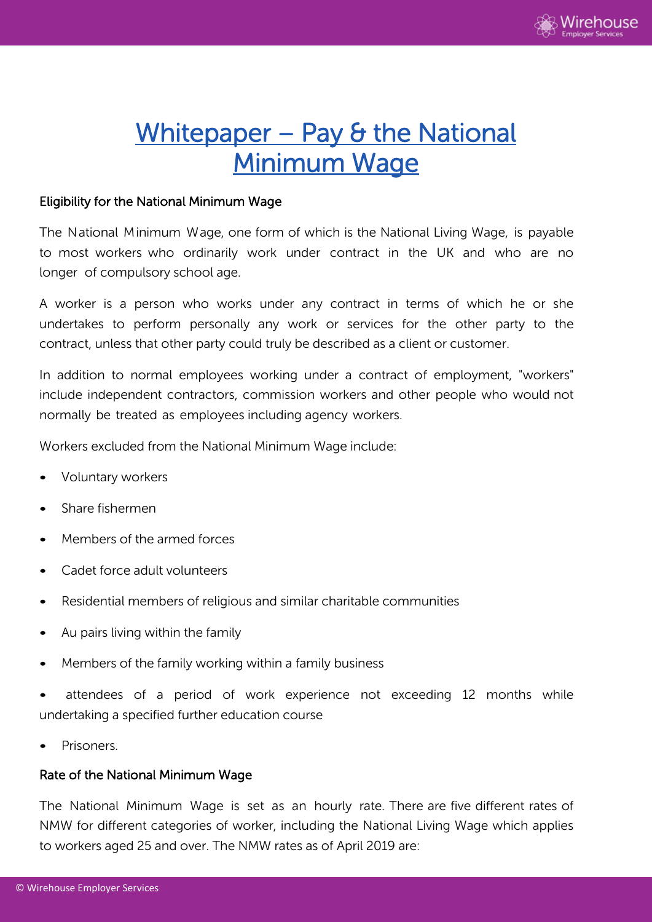

# Whitepaper - Pay & the National Minimum Wage

### Eligibility for the National Minimum Wage

The National Minimum Wage, one form of which is the National Living Wage, is payable to most workers who ordinarily work under contract in the UK and who are no longer of compulsory school age.

A worker is a person who works under any contract in terms of which he or she undertakes to perform personally any work or services for the other party to the contract, unless that other party could truly be described as a client or customer.

In addition to normal employees working under a contract of employment, "workers" include independent contractors, commission workers and other people who would not normally be treated as employees including agency workers.

Workers excluded from the National Minimum Wage include:

- Voluntary workers
- Share fishermen
- Members of the armed forces
- Cadet force adult volunteers
- Residential members of religious and similar charitable communities
- Au pairs living within the family
- Members of the family working within a family business
- attendees of a period of work experience not exceeding 12 months while undertaking a specified further education course
- Prisoners.

#### Rate of the National Minimum Wage

The National Minimum Wage is set as an hourly rate. There are five different rates of NMW for different categories of worker, including the National Living Wage which applies to workers aged 25 and over. The NMW rates as of April 2019 are: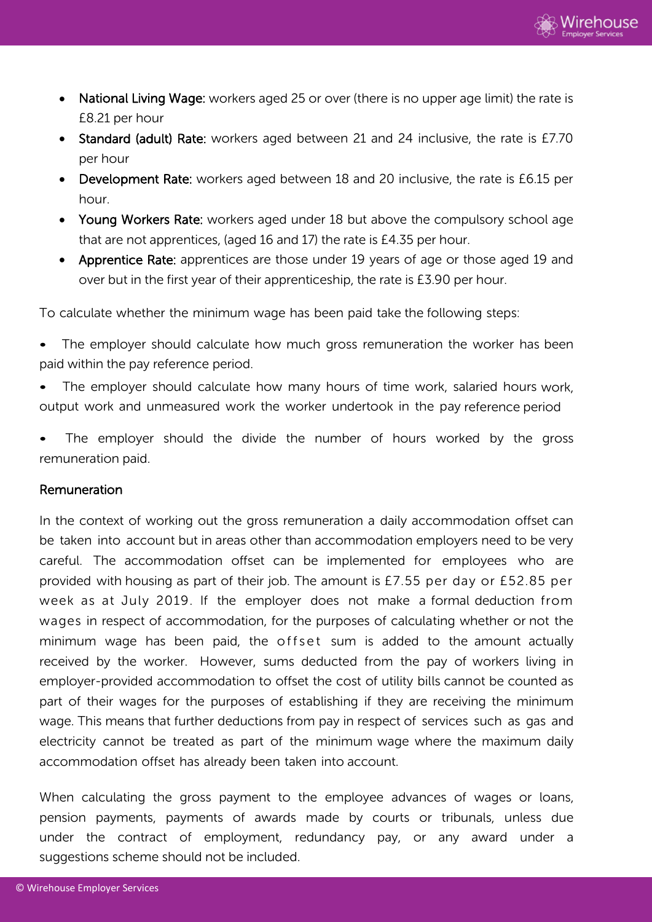

- National Living Wage: workers aged 25 or over (there is no upper age limit) the rate is £8.21 per hour
- Standard (adult) Rate: workers aged between 21 and 24 inclusive, the rate is £7.70 per hour
- Development Rate: workers aged between 18 and 20 inclusive, the rate is £6.15 per hour.
- Young Workers Rate: workers aged under 18 but above the compulsory school age that are not apprentices, (aged 16 and 17) the rate is £4.35 per hour.
- Apprentice Rate: apprentices are those under 19 years of age or those aged 19 and over but in the first year of their apprenticeship, the rate is £3.90 per hour.

To calculate whether the minimum wage has been paid take the following steps:

- The employer should calculate how much gross remuneration the worker has been paid within the pay reference period.
- The employer should calculate how many hours of time work, salaried hours work, output work and unmeasured work the worker undertook in the pay reference period
- The employer should the divide the number of hours worked by the gross remuneration paid.

#### Remuneration

In the context of working out the gross remuneration a daily accommodation offset can be taken into account but in areas other than accommodation employers need to be very careful. The accommodation offset can be implemented for employees who are provided with housing as part of their job. The amount is £7.55 per day or £52.85 per week as at July 2019. If the employer does not make a formal deduction from wages in respect of accommodation, for the purposes of calculating whether or not the minimum wage has been paid, the offset sum is added to the amount actually received by the worker. However, sums deducted from the pay of workers living in employer-provided accommodation to offset the cost of utility bills cannot be counted as part of their wages for the purposes of establishing if they are receiving the minimum wage. This means that further deductions from pay in respect of services such as gas and electricity cannot be treated as part of the minimum wage where the maximum daily accommodation offset has already been taken into account.

When calculating the gross payment to the employee advances of wages or loans, pension payments, payments of awards made by courts or tribunals, unless due under the contract of employment, redundancy pay, or any award under a suggestions scheme should not be included.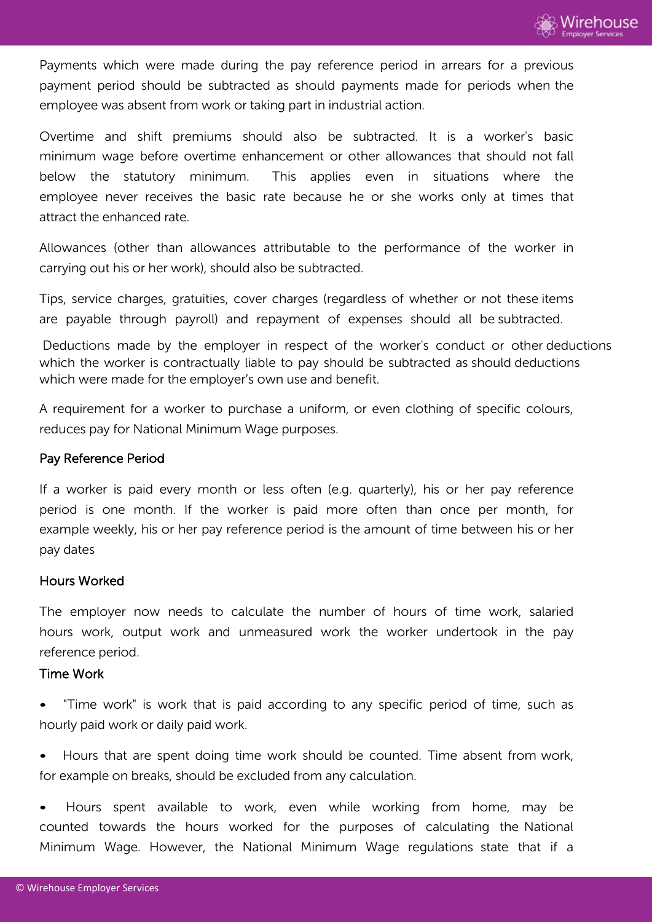Payments which were made during the pay reference period in arrears for a previous payment period should be subtracted as should payments made for periods when the employee was absent from work or taking part in industrial action.

Overtime and shift premiums should also be subtracted. It is a worker's basic minimum wage before overtime enhancement or other allowances that should not fall below the statutory minimum. This applies even in situations where the employee never receives the basic rate because he or she works only at times that attract the enhanced rate.

Allowances (other than allowances attributable to the performance of the worker in carrying out his or her work), should also be subtracted.

Tips, service charges, gratuities, cover charges (regardless of whether or not these items are payable through payroll) and repayment of expenses should all be subtracted.

Deductions made by the employer in respect of the worker's conduct or other deductions which the worker is contractually liable to pay should be subtracted as should deductions which were made for the employer's own use and benefit.

A requirement for a worker to purchase a uniform, or even clothing of specific colours, reduces pay for National Minimum Wage purposes.

## Pay Reference Period

If a worker is paid every month or less often (e.g. quarterly), his or her pay reference period is one month. If the worker is paid more often than once per month, for example weekly, his or her pay reference period is the amount of time between his or her pay dates

#### Hours Worked

The employer now needs to calculate the number of hours of time work, salaried hours work, output work and unmeasured work the worker undertook in the pay reference period.

#### Time Work

• "Time work" is work that is paid according to any specific period of time, such as hourly paid work or daily paid work.

• Hours that are spent doing time work should be counted. Time absent from work, for example on breaks, should be excluded from any calculation.

• Hours spent available to work, even while working from home, may be counted towards the hours worked for the purposes of calculating the National Minimum Wage. However, the National Minimum Wage regulations state that if a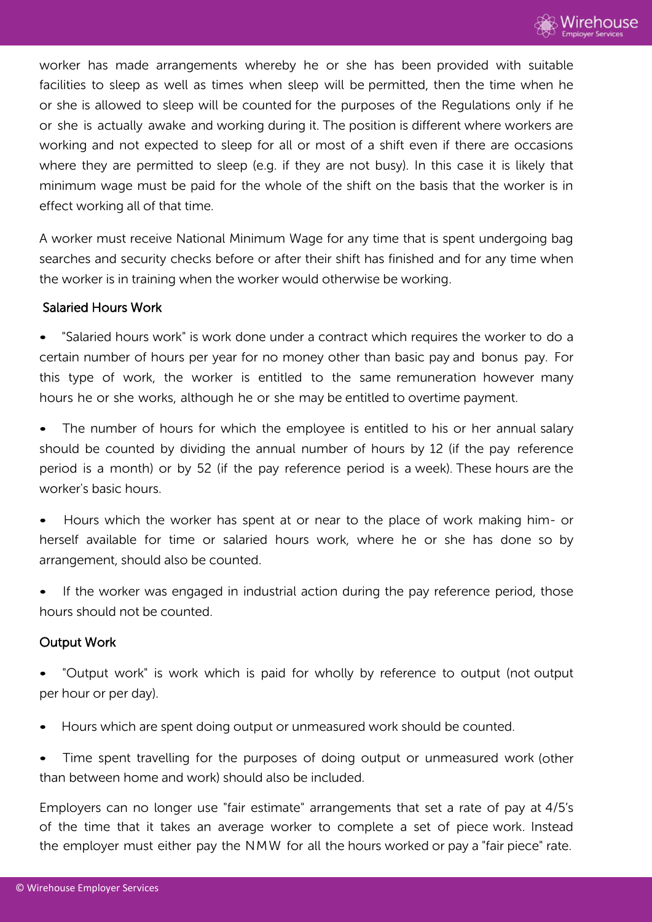

worker has made arrangements whereby he or she has been provided with suitable facilities to sleep as well as times when sleep will be permitted, then the time when he or she is allowed to sleep will be counted for the purposes of the Regulations only if he or she is actually awake and working during it. The position is different where workers are working and not expected to sleep for all or most of a shift even if there are occasions where they are permitted to sleep (e.g. if they are not busy). In this case it is likely that minimum wage must be paid for the whole of the shift on the basis that the worker is in effect working all of that time.

A worker must receive National Minimum Wage for any time that is spent undergoing bag searches and security checks before or after their shift has finished and for any time when the worker is in training when the worker would otherwise be working.

#### Salaried Hours Work

• "Salaried hours work" is work done under a contract which requires the worker to do a certain number of hours per year for no money other than basic pay and bonus pay. For this type of work, the worker is entitled to the same remuneration however many hours he or she works, although he or she may be entitled to overtime payment.

• The number of hours for which the employee is entitled to his or her annual salary should be counted by dividing the annual number of hours by 12 (if the pay reference period is a month) or by 52 (if the pay reference period is a week). These hours are the worker's basic hours.

• Hours which the worker has spent at or near to the place of work making him- or herself available for time or salaried hours work, where he or she has done so by arrangement, should also be counted.

If the worker was engaged in industrial action during the pay reference period, those hours should not be counted.

#### Output Work

• "Output work" is work which is paid for wholly by reference to output (not output per hour or per day).

• Hours which are spent doing output or unmeasured work should be counted.

Time spent travelling for the purposes of doing output or unmeasured work (other than between home and work) should also be included.

Employers can no longer use "fair estimate" arrangements that set a rate of pay at 4/5's of the time that it takes an average worker to complete a set of piece work. Instead the employer must either pay the NMW for all the hours worked or pay a "fair piece" rate.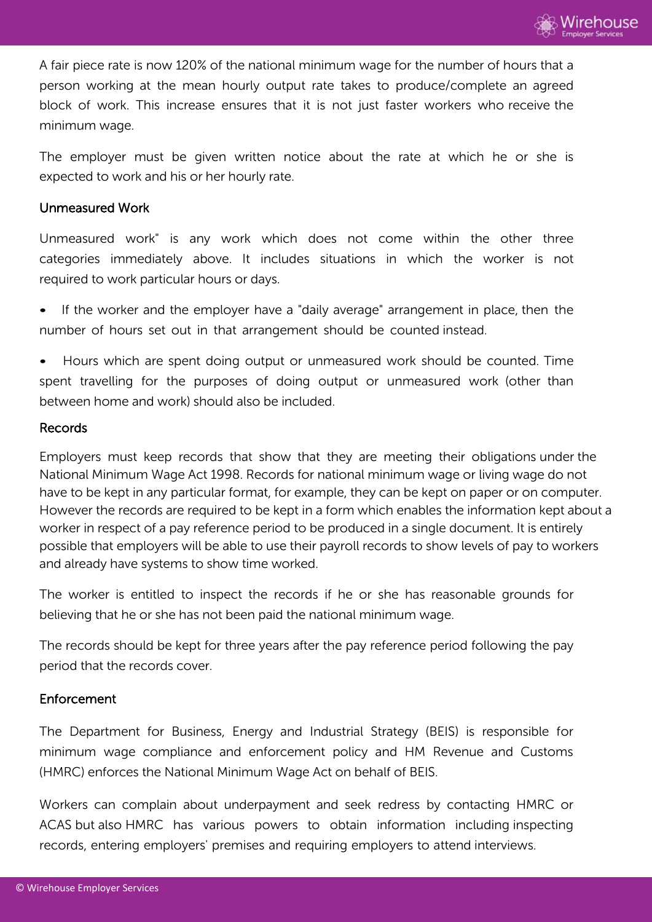A fair piece rate is now 120% of the national minimum wage for the number of hours that a person working at the mean hourly output rate takes to produce/complete an agreed block of work. This increase ensures that it is not just faster workers who receive the minimum wage.

The employer must be given written notice about the rate at which he or she is expected to work and his or her hourly rate.

#### Unmeasured Work

Unmeasured work" is any work which does not come within the other three categories immediately above. It includes situations in which the worker is not required to work particular hours or days.

If the worker and the employer have a "daily average" arrangement in place, then the number of hours set out in that arrangement should be counted instead.

• Hours which are spent doing output or unmeasured work should be counted. Time spent travelling for the purposes of doing output or unmeasured work (other than between home and work) should also be included.

#### Records

Employers must keep records that show that they are meeting their obligations under the National Minimum Wage Act 1998. Records for national minimum wage or living wage do not have to be kept in any particular format, for example, they can be kept on paper or on computer. However the records are required to be kept in a form which enables the information kept about a worker in respect of a pay reference period to be produced in a single document. It is entirely possible that employers will be able to use their payroll records to show levels of pay to workers and already have systems to show time worked.

The worker is entitled to inspect the records if he or she has reasonable grounds for believing that he or she has not been paid the national minimum wage.

The records should be kept for three years after the pay reference period following the pay period that the records cover.

## Enforcement

The Department for Business, Energy and Industrial Strategy (BEIS) is responsible for minimum wage compliance and enforcement policy and HM Revenue and Customs (HMRC) enforces the National Minimum Wage Act on behalf of BEIS.

Workers can complain about underpayment and seek redress by contacting HMRC or ACAS but also HMRC has various powers to obtain information including inspecting records, entering employers' premises and requiring employers to attend interviews.